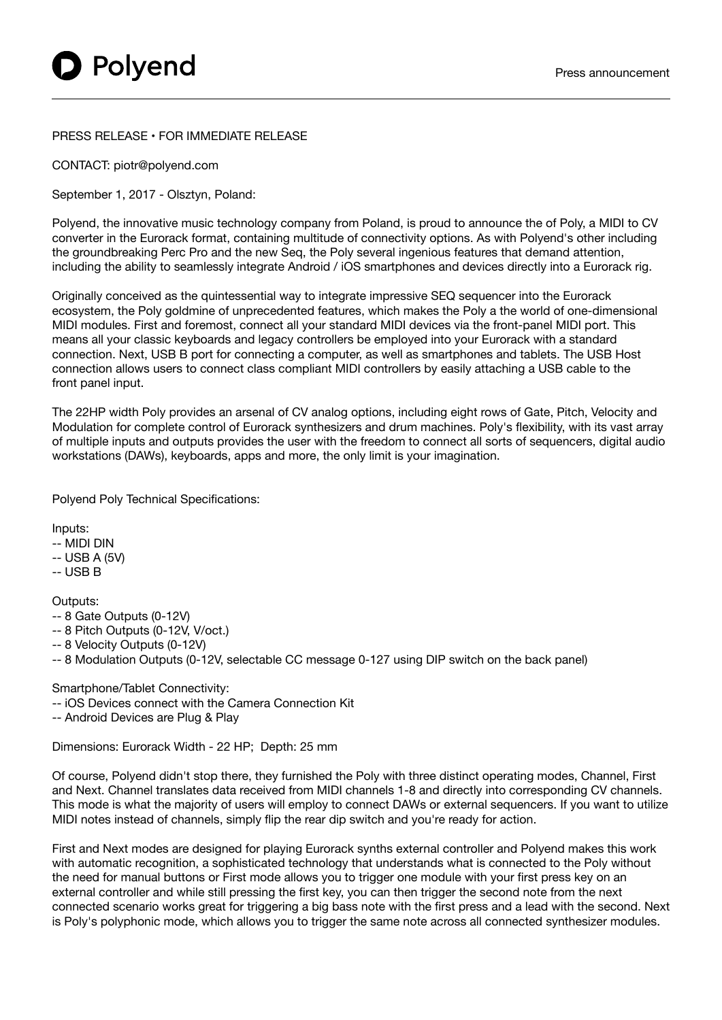## PRESS RELEASE • FOR IMMEDIATE RELEASE

CONTACT: piotr@polyend.com

September 1, 2017 - Olsztyn, Poland:

Polyend, the innovative music technology company from Poland, is proud to announce the of Poly, a MIDI to CV converter in the Eurorack format, containing multitude of connectivity options. As with Polyend's other including the groundbreaking Perc Pro and the new Seq, the Poly several ingenious features that demand attention, including the ability to seamlessly integrate Android / iOS smartphones and devices directly into a Eurorack rig.

Originally conceived as the quintessential way to integrate impressive SEQ sequencer into the Eurorack ecosystem, the Poly goldmine of unprecedented features, which makes the Poly a the world of one-dimensional MIDI modules. First and foremost, connect all your standard MIDI devices via the front-panel MIDI port. This means all your classic keyboards and legacy controllers be employed into your Eurorack with a standard connection. Next, USB B port for connecting a computer, as well as smartphones and tablets. The USB Host connection allows users to connect class compliant MIDI controllers by easily attaching a USB cable to the front panel input.

The 22HP width Poly provides an arsenal of CV analog options, including eight rows of Gate, Pitch, Velocity and Modulation for complete control of Eurorack synthesizers and drum machines. Poly's flexibility, with its vast array of multiple inputs and outputs provides the user with the freedom to connect all sorts of sequencers, digital audio workstations (DAWs), keyboards, apps and more, the only limit is your imagination.

Polyend Poly Technical Specifications:

Inputs:

- -- MIDI DIN
- -- USB A (5V)
- -- USB B

Outputs:

- -- 8 Gate Outputs (0-12V)
- -- 8 Pitch Outputs (0-12V, V/oct.)
- -- 8 Velocity Outputs (0-12V)
- -- 8 Modulation Outputs (0-12V, selectable CC message 0-127 using DIP switch on the back panel)

Smartphone/Tablet Connectivity:

- -- iOS Devices connect with the Camera Connection Kit
- -- Android Devices are Plug & Play

Dimensions: Eurorack Width - 22 HP; Depth: 25 mm

Of course, Polyend didn't stop there, they furnished the Poly with three distinct operating modes, Channel, First and Next. Channel translates data received from MIDI channels 1-8 and directly into corresponding CV channels. This mode is what the majority of users will employ to connect DAWs or external sequencers. If you want to utilize MIDI notes instead of channels, simply flip the rear dip switch and you're ready for action.

First and Next modes are designed for playing Eurorack synths external controller and Polyend makes this work with automatic recognition, a sophisticated technology that understands what is connected to the Poly without the need for manual buttons or First mode allows you to trigger one module with your first press key on an external controller and while still pressing the first key, you can then trigger the second note from the next connected scenario works great for triggering a big bass note with the first press and a lead with the second. Next is Poly's polyphonic mode, which allows you to trigger the same note across all connected synthesizer modules.